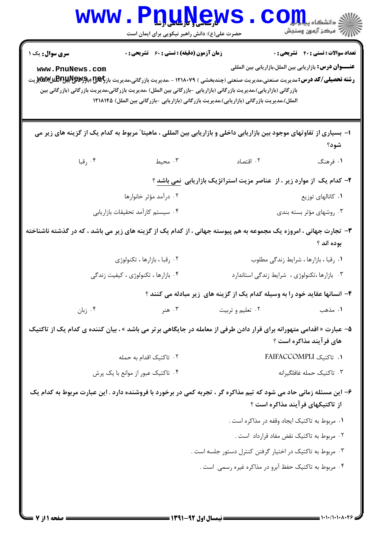| <b>WWW</b>                                                                                                                                      | <b><u>DTARGMS</u></b><br>حضرت علی(ع): دانش راهبر نیکویی برای ایمان است |                                                                                                                     | دانشکاه پ <b>یا یا پل</b>                                      |
|-------------------------------------------------------------------------------------------------------------------------------------------------|------------------------------------------------------------------------|---------------------------------------------------------------------------------------------------------------------|----------------------------------------------------------------|
| <b>سری سوال :</b> یک ۱                                                                                                                          | <b>زمان آزمون (دقیقه) : تستی : 60 ٪ تشریحی : 0</b>                     |                                                                                                                     | <b>تعداد سوالات : تستي : 40 - تشريحي : 0</b>                   |
| www.PnuNews.com                                                                                                                                 |                                                                        |                                                                                                                     | <b>عنــــوان درس:</b> بازاریابی بین الملل،بازاریابی بین المللی |
| <b>رشته تحصیلی/کد درس:</b> مدیریت صنعتی،مدیریت صنعتی (چندبخشی ) ۱۲۱۸۰۷۹ - ،مدیریت بازرگانی،مدیریت باز <del>بگه[</del> بر <b>چر&amp;RپرللRپل</b> |                                                                        | بازرگانی (بازاریابی)،مدیریت بازرگانی (بازاریابی -بازرگانی بین الملل) ،مدیریت بازرگانی،مدیریت بازرگانی (بازرگانی بین |                                                                |
|                                                                                                                                                 |                                                                        | الملل)،مدیریت بازرگانی (بازاریابی)،مدیریت بازرگانی (بازاریابی -بازرگانی بین الملل) ۱۲۱۸۱۴۵                          |                                                                |
| ا– بسیاری از تفاوتهای موجود بین بازاریابی داخلی و بازاریابی بین المللی ، ماهیتا" مربوط به کدام یک از گزینه های زیر می                           |                                                                        |                                                                                                                     |                                                                |
|                                                                                                                                                 |                                                                        |                                                                                                                     | شود؟                                                           |
| ۰۴ رقبا                                                                                                                                         | ۰۳ محيط                                                                | ٠٢ اقتصاد                                                                                                           | ۰۱ فرهنگ                                                       |
|                                                                                                                                                 |                                                                        | ۲- کدام یک از موارد زیر ، از عناصر مزیت استراتژیک بازاریابی <u>نمی باشد</u> ؟                                       |                                                                |
|                                                                                                                                                 | ۰۲ درآمد مؤثر خانوارها                                                 |                                                                                                                     | ۰۱ كانالهاى توزيع                                              |
|                                                                                                                                                 | ۰۴ سیستم کارآمد تحقیقات بازاریابی                                      |                                                                                                                     | ۰۳ روشهای مؤثر بسته بندی                                       |
| ۳- تجارت جهانی ، امروزه یک مجموعه به هم پیوسته جهانی ، از کدام یک از گزینه های زیر می باشد ، که در گذشته ناشناخته                               |                                                                        |                                                                                                                     | بوده اند ؟                                                     |
|                                                                                                                                                 | ۰۲ رقبا ، بازارها ، تكنولوژى                                           |                                                                                                                     | ٠١ رقبا ، بازارها ، شرايط زندگي مطلوب                          |
|                                                                                                                                                 | ۰۴ بازارها ، تکنولوژی ، کیفیت زندگی                                    | ۰۳ بازارها ،تکنولوژی ، شرایط زندگی استاندارد                                                                        |                                                                |
|                                                                                                                                                 |                                                                        | ۴- انسانها عقاید خود را به وسیله کدام یک از گزینه های زیر مبادله می کنند ؟                                          |                                                                |
| ۰۴ زبان                                                                                                                                         | ۰۳ هنر                                                                 | ۰۲ تعلیم و تربیت                                                                                                    | ٠١ مذهب                                                        |
| ۵– عبارت « اقدامی متهورانه برای قرار دادن طرفی از معامله در جایگاهی برتر می باشد » ، بیان کننده ی کدام یک از تاکتیک                             |                                                                        |                                                                                                                     | های فرآیند مذاکره است ؟                                        |
|                                                                                                                                                 | ٢. تاكتيک اقدام به حمله                                                |                                                                                                                     | 1. تاكتيک FAIFACCOMPLI                                         |
|                                                                                                                                                 | ۰۴ تاکتیک عبور از موانع با یک پرش                                      |                                                                                                                     | ۰۳ تاكتيك حمله غافلگيرانه                                      |
| ۶– این مسئله زمانی حاد می شود که تیم مذاکره گر ، تجربه کمی در برخورد با فروشنده دارد . این عبارت مربوط به کدام یک                               |                                                                        |                                                                                                                     | از تاکتیکهای فرآیند مذاکره است ؟                               |
|                                                                                                                                                 |                                                                        | ۰۱ مربوط به تاکتیک ایجاد وقفه در مذاکره است .                                                                       |                                                                |
|                                                                                                                                                 |                                                                        | ۰۲ مربوط به تاکتیک نقض مفاد قرارداد است .                                                                           |                                                                |
|                                                                                                                                                 |                                                                        | ۰۳ مربوط به تاکتیک در اختیار گرفتن کنترل دستور جلسه است .                                                           |                                                                |
|                                                                                                                                                 |                                                                        | ۰۴ مربوط به تاکتیک حفظ آبرو در مذاکره غیره رسمی است .                                                               |                                                                |
|                                                                                                                                                 |                                                                        |                                                                                                                     |                                                                |
|                                                                                                                                                 |                                                                        |                                                                                                                     |                                                                |
|                                                                                                                                                 |                                                                        |                                                                                                                     |                                                                |

 $1 - 1 - 11 - 1 - 1$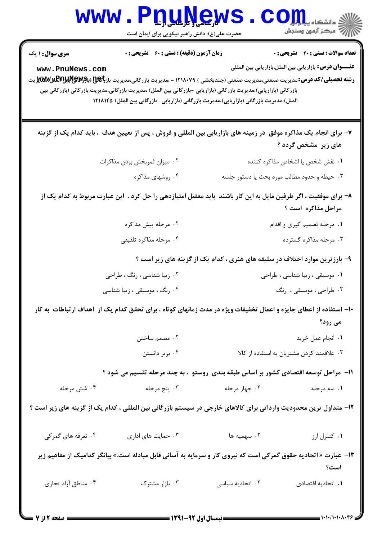| <b>WWW</b>             | <b>LLU NGU</b><br>حضرت علی(ع): دانش راهبر نیکویی برای ایمان است                                                                                                                                                                                                                                                                                                            |                                             | دانشکاه پی <mark>ا با بار</mark> (<br>رُ⁄ مرڪز آزمون وسنڊش     |  |
|------------------------|----------------------------------------------------------------------------------------------------------------------------------------------------------------------------------------------------------------------------------------------------------------------------------------------------------------------------------------------------------------------------|---------------------------------------------|----------------------------------------------------------------|--|
| <b>سری سوال : ۱ یک</b> | <b>زمان آزمون (دقیقه) : تستی : 60 ٪ تشریحی : 0</b>                                                                                                                                                                                                                                                                                                                         |                                             | <b>تعداد سوالات : تستی : 40 قشریحی : 0</b>                     |  |
| www.PnuNews.com        | <b>رشته تحصیلی/کد درس:</b> مدیریت صنعتی،مدیریت صنعتی (چندبخشی ) ۱۲۱۸۰۷۹ - ،مدیریت بازرگانی،مدیریت باز <del>بگه[</del> بر <b>چر&amp;RپرللRپل</b> الالی<br>بازرگانی (بازاریابی)،مدیریت بازرگانی (بازاریابی -بازرگانی بین الملل) ،مدیریت بازرگانی،مدیریت بازرگانی (بازرگانی بین<br>الملل)،مدیریت بازرگانی (بازاریابی)،مدیریت بازرگانی (بازاریابی -بازرگانی بین الملل) ۱۲۱۸۱۴۵ |                                             | <b>عنــــوان درس:</b> بازاریابی بین الملل،بازاریابی بین المللی |  |
|                        | ۷- برای انجام یک مذاکره موفق ًدر زمینه های بازاریابی بین المللی و فروش ، پس از تعیین هدف  ، باید کدام یک از گزینه                                                                                                                                                                                                                                                          |                                             | های زیر ًمشخص گردد ؟                                           |  |
|                        | ۰۲ میزان ثمربخش بودن مذاکرات                                                                                                                                                                                                                                                                                                                                               |                                             | ٠١ نقش شخص يا اشخاص مذاكره كننده                               |  |
|                        | ۰۴ روشهای مذاکره                                                                                                                                                                                                                                                                                                                                                           | ۰۳ حیطه و حدود مطالب مورد بحث یا دستور جلسه |                                                                |  |
|                        | ۸– برای موفقیت ، اگر طرفین مایل به این کار باشند  باید معضل امتیازدهی را حل کرد .  این عبارت مربوط به کدام یک از                                                                                                                                                                                                                                                           |                                             | مراحل مذاکره است ؟                                             |  |
|                        | ۰۲ مرحله پیش مذاکره                                                                                                                                                                                                                                                                                                                                                        |                                             | ۰۱ مرحله تصمیم گیری و اقدام                                    |  |
|                        | ۰۴ مرحله مذاكره تلفيقي                                                                                                                                                                                                                                                                                                                                                     |                                             | ۰۳ مرحله مذاکره گسترده                                         |  |
|                        | ۹- بارزترین موارد اختلاف در سلیقه های هنری ، کدام یک از گزینه های زیر است ؟                                                                                                                                                                                                                                                                                                |                                             |                                                                |  |
|                        | ۰۲ زیبا شناسی ، رنگ ، طراحی                                                                                                                                                                                                                                                                                                                                                |                                             | ۰۱ موسیقی ، زیبا شناسی ، طراحی                                 |  |
|                        | ۰۴ رنگ ، موسیقی ، زیبا شناسی                                                                                                                                                                                                                                                                                                                                               |                                             | ۰۳ طراحی، موسیقی، رنگ                                          |  |
|                        | ۱۰– استفاده از اعطای جایزه و اعمال تخفیفات ویژه در مدت زمانهای کوتاه ، برای تحقق کدام یک از ۱هداف ارتباطات به کار                                                                                                                                                                                                                                                          |                                             | می رود؟                                                        |  |
|                        | ۰۲ مصمم ساختن                                                                                                                                                                                                                                                                                                                                                              |                                             | ٠١. انجام عمل خريد                                             |  |
|                        | ۰۴ برتر دانستن                                                                                                                                                                                                                                                                                                                                                             | ۰۳ علاقمند کردن مشتریان به استفاده از کالا  |                                                                |  |
|                        | ۱۱– مراحل توسعه اقتصادی کشور بر اساس طبقه بندی روستو ، به چند مرحله تقسیم می شود ؟                                                                                                                                                                                                                                                                                         |                                             |                                                                |  |
| ۰۴ شش مرحله            | ۰۳ پنج مرحله                                                                                                                                                                                                                                                                                                                                                               | ۰۲ چهار مرحله                               | ۰۱ سه مرحله                                                    |  |
|                        | ۱۲– متداول ترین محدودیت وارداتی برای کالاهای خارجی در سیستم بازرگانی بین المللی ، کدام یک از گزینه های زیر است ؟                                                                                                                                                                                                                                                           |                                             |                                                                |  |
| ۰۴ تعرفه های گمرکی     | ۰۳ حمایت های اداری                                                                                                                                                                                                                                                                                                                                                         | ۰۲ سهمیه ها                                 | ٠١ كنترل ارز                                                   |  |
|                        | ۱۳- عبارت « اتحادیه حقوق گمرکی است که نیروی کار و سرمایه به آسانی قابل مبادله است.» بیانگر کدامیک از مفاهیم زیر                                                                                                                                                                                                                                                            |                                             | است؟                                                           |  |
| ۰۴ مناطق أزاد تجاري    | ۰۳ بازار مشترک                                                                                                                                                                                                                                                                                                                                                             | ۰۲ اتحادیه سیاسی                            | ٠١. اتحاديه اقتصادى                                            |  |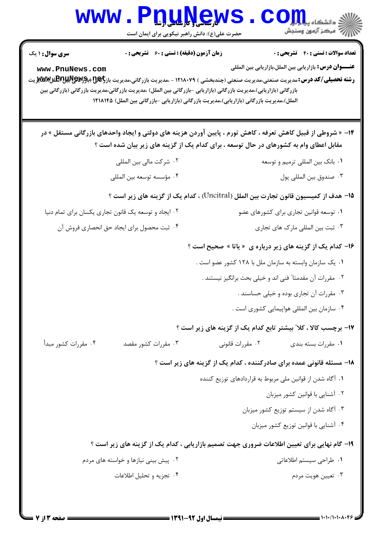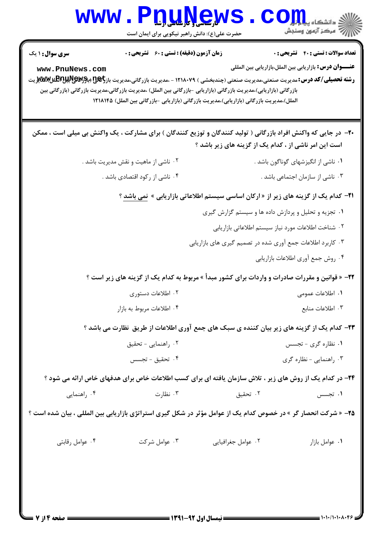| <b>WWW.</b>                                                                                                                                                             | <b>I. U. N. S. W</b><br>حضرت علی(ع): دانش راهبر نیکویی برای ایمان است |                                                                                                                                                                                                                   | S <b>Oill</b> alsails<br>رُ ۖ مرڪز آزمون وسنڊش                 |
|-------------------------------------------------------------------------------------------------------------------------------------------------------------------------|-----------------------------------------------------------------------|-------------------------------------------------------------------------------------------------------------------------------------------------------------------------------------------------------------------|----------------------------------------------------------------|
| <b>سری سوال :</b> ۱ یک                                                                                                                                                  | <b>زمان آزمون (دقیقه) : تستی : 60 گشریحی : 0</b>                      |                                                                                                                                                                                                                   | <b>تعداد سوالات : تستي : 40 ٪ تشريحي : 0</b>                   |
| www.PnuNews.com<br><b>رشته تحصیلی/کد درس:</b> مدیریت صنعتی،مدیریت صنعتی (چندبخشی ) ۱۲۱۸۰۷۹ - ،مدیریت بازرگانی،مدیریت باز <del>رگیE (باM</del> WیMی و با <b>RPیتر</b> یت |                                                                       | بازرگانی (بازاریابی)،مدیریت بازرگانی (بازاریابی -بازرگانی بین الملل) ،مدیریت بازرگانی،مدیریت بازرگانی (بازرگانی بین<br>الملل)،مدیریت بازرگانی (بازاریابی)،مدیریت بازرگانی (بازاریابی -بازرگانی بین الملل) ۱۲۱۸۱۴۵ | <b>عنــــوان درس:</b> بازاريابي بين الملل،بازاريابي بين المللي |
|                                                                                                                                                                         |                                                                       | +۲- در جایی که واکنش افراد بازرگانی ( تولید کنندگان و توزیع کنندگان ) برای مشارکت ، یک واکنش بی میلی است ، ممکن<br>است این امر ناشی از ، کدام یک از گزینه های زیر باشد ؟                                          |                                                                |
|                                                                                                                                                                         | ۰۲ ناشی از ماهیت و نقش مدیریت باشد .                                  |                                                                                                                                                                                                                   | ۰۱ ناشی از انگیزشهای گوناگون باشد .                            |
|                                                                                                                                                                         | ۰۴ ناشی از رکود اقتصادی باشد .                                        |                                                                                                                                                                                                                   | ۰۳ ناشی از سازمان اجتماعی باشد .                               |
|                                                                                                                                                                         |                                                                       | <b>۲۱</b> - کدام یک از گزینه های زیر از « ارکان اساسی سیستم اطلاعاتی بازاریابی » نمی باشد ؟                                                                                                                       |                                                                |
|                                                                                                                                                                         |                                                                       | ۰۱ تجزیه و تحلیل و پردازش داده ها و سیستم گزارش گیری                                                                                                                                                              |                                                                |
|                                                                                                                                                                         |                                                                       | ٠٢ شناخت اطلاعات مورد نياز سيستم اطلاعاتي بازاريابي                                                                                                                                                               |                                                                |
|                                                                                                                                                                         |                                                                       | ۰۳ کاربرد اطلاعات جمع آوری شده در تصمیم گیری های بازاریابی                                                                                                                                                        |                                                                |
|                                                                                                                                                                         |                                                                       |                                                                                                                                                                                                                   | ۰۴ روش جمع أوري اطلاعات بازاريابي                              |
|                                                                                                                                                                         |                                                                       | <b>۲۲</b> - « قوانین و مقررات صادرات و واردات برای کشور مبدأ » مربوط به کدام یک از گزینه های زیر است ؟                                                                                                            |                                                                |
|                                                                                                                                                                         | ۰۲ اطلاعات دستوری                                                     |                                                                                                                                                                                                                   | ۰۱ اطلاعات عمومی                                               |
|                                                                                                                                                                         | ۰۴ اطلاعات مربوط به بازار                                             | ۰۳ اطلاعات منابع                                                                                                                                                                                                  |                                                                |
|                                                                                                                                                                         |                                                                       | ۲۳- کدام یک از گزینه های زیر بیان کننده ی سبک های جمع آوری اطلاعات از طریق نظارت می باشد ؟                                                                                                                        |                                                                |
|                                                                                                                                                                         | ۰۲ راهنمایی - تحقیق                                                   |                                                                                                                                                                                                                   | ۰۱ نظاره گری - تجسس                                            |
|                                                                                                                                                                         | ۰۴ تحقیق - تجسس                                                       |                                                                                                                                                                                                                   | ۰۳ راهنمایی - نظاره گری                                        |
|                                                                                                                                                                         |                                                                       | ۲۴- در کدام یک از روش های زیر ، تلاش سازمان یافته ای برای کسب اطلاعات خاص برای هدفهای خاص ارائه می شود ؟                                                                                                          |                                                                |
| ۰۴ راهنمایی                                                                                                                                                             | ۰۳ نظارت                                                              | ۰۲ تحقیق                                                                                                                                                                                                          | ۰۱ تجسس                                                        |
| <b>۲۵</b> - « شرکت انحصار گر » در خصوص کدام یک از عوامل مؤثر در شکل گیری استراتژی بازاریابی بین المللی ، بیان شده است ؟                                                 |                                                                       |                                                                                                                                                                                                                   |                                                                |
| ۰۴ عوامل رقابتی                                                                                                                                                         | ۰۳ عوامل شرکت                                                         | ٠٢ عوامل جغرافيايي                                                                                                                                                                                                | ٠١ عوامل بازار                                                 |
|                                                                                                                                                                         |                                                                       |                                                                                                                                                                                                                   |                                                                |
|                                                                                                                                                                         |                                                                       |                                                                                                                                                                                                                   |                                                                |
|                                                                                                                                                                         |                                                                       |                                                                                                                                                                                                                   |                                                                |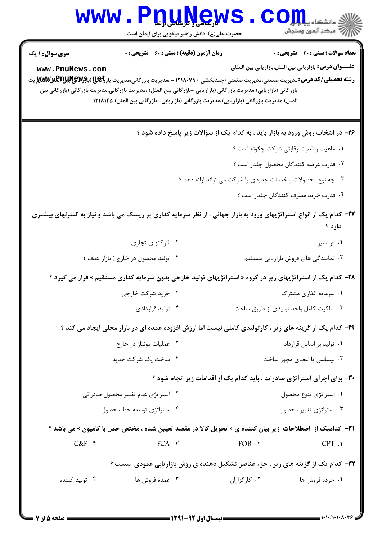|                                           | www.Pnunews<br>حضرت علی(ع): دانش راهبر نیکویی برای ایمان است                                                                                                                                                                                                                                                                                                                                                         |                                                                                 | الاد دانشگاه پیامبرا<br>الله دانشگاه پیامبرانی<br>الله مرکز آزمون وسنجش                                      |
|-------------------------------------------|----------------------------------------------------------------------------------------------------------------------------------------------------------------------------------------------------------------------------------------------------------------------------------------------------------------------------------------------------------------------------------------------------------------------|---------------------------------------------------------------------------------|--------------------------------------------------------------------------------------------------------------|
| <b>سری سوال : ۱ یک</b><br>www.PnuNews.com | <b>زمان آزمون (دقیقه) : تستی : 60 ٪ تشریحی : 0</b><br><b>رشته تحصیلی/کد درس:</b> مدیریت صنعتی،مدیریت صنعتی (چندبخشی ) ۱۲۱۸۰۷۹ - ،مدیریت بازرگانی،مدیریت باز <del>رگیهی (پویتهایمیلیتهای</del> ل<br>بازرگانی (بازاریابی)،مدیریت بازرگانی (بازاریابی -بازرگانی بین الملل) ،مدیریت بازرگانی،مدیریت بازرگانی (بازرگانی بین<br>الملل)،مدیریت بازرگانی (بازاریابی)،مدیریت بازرگانی (بازاریابی -بازرگانی بین الملل) ۱۲۱۸۱۴۵ |                                                                                 | <b>تعداد سوالات : تستي : 40 قشريحي : 0</b><br><b>عنــــوان درس:</b> بازاريابي بين الملل،بازاريابي بين المللي |
|                                           |                                                                                                                                                                                                                                                                                                                                                                                                                      | ۲۶- در انتخاب روش ورود به بازار باید ، به کدام یک از سؤالات زیر پاسخ داده شود ؟ |                                                                                                              |
|                                           |                                                                                                                                                                                                                                                                                                                                                                                                                      |                                                                                 | ٠١ ماهيت و قدرت رقابتي شركت چگونه است ؟                                                                      |
|                                           |                                                                                                                                                                                                                                                                                                                                                                                                                      |                                                                                 | ٢. قدرت عرضه كنندگان محصول چقدر است ؟                                                                        |
|                                           |                                                                                                                                                                                                                                                                                                                                                                                                                      | ۰۳ چه نوع محصولات و خدمات جدیدی را شرکت می تواند ارائه دهد ؟                    |                                                                                                              |
|                                           |                                                                                                                                                                                                                                                                                                                                                                                                                      |                                                                                 | ۰۴ قدرت خرید مصرف کنندگان چقدر است ؟                                                                         |
|                                           | ۲۷– کدام یک از انواع استراتژیهای ورود به بازار جهانی ، از نظر سرمایه گذاری پر ریسک می باشد و نیاز به کنترلهای بیشتری                                                                                                                                                                                                                                                                                                 |                                                                                 | دارد ؟                                                                                                       |
|                                           | ۰۲ شرکتهای تجاری                                                                                                                                                                                                                                                                                                                                                                                                     |                                                                                 | ۰۱ فرانشیز                                                                                                   |
|                                           | ۰۴ تولید محصول در خارج ( بازار هدف )                                                                                                                                                                                                                                                                                                                                                                                 |                                                                                 | ۰۳ نمایندگی های فروش بازاریابی مستقیم                                                                        |
|                                           | <b>۲۸</b> – کدام یک از استراتژیهای زیر در گروه « استراتژیهای تولید خارجی بدون سرمایه گذاری مستقیم » قرار می گیرد ؟                                                                                                                                                                                                                                                                                                   |                                                                                 |                                                                                                              |
|                                           | ۰۲ خرید شرکت خارجی                                                                                                                                                                                                                                                                                                                                                                                                   |                                                                                 | ۰۱ سرمایه گذاری مشترک                                                                                        |
|                                           | ۰۴ تولید قراردادی                                                                                                                                                                                                                                                                                                                                                                                                    |                                                                                 | ۰۳ مالکیت کامل واحد تولیدی از طریق ساخت                                                                      |
|                                           | ۲۹- کدام یک از گزینه های زیر ، کارتولیدی کاملی نیست اما ارزش افزوده عمده ای در بازار محلی ایجاد می کند ؟                                                                                                                                                                                                                                                                                                             |                                                                                 |                                                                                                              |
|                                           | ۰۲ عملیات مونتاژ در خارج                                                                                                                                                                                                                                                                                                                                                                                             |                                                                                 | ۰۱ تولید بر اساس قرارداد                                                                                     |
|                                           | ۰۴ ساخت یک شرکت جدید                                                                                                                                                                                                                                                                                                                                                                                                 |                                                                                 | ۰۳ لیسانس یا اعطای مجوز ساخت                                                                                 |
|                                           |                                                                                                                                                                                                                                                                                                                                                                                                                      | ۳۰- برای اجرای استراتژی صادرات ، باید کدام یک از اقدامات زیر انجام شود ؟        |                                                                                                              |
|                                           | ۰۲ استراتژی عدم تغییر محصول صادراتی                                                                                                                                                                                                                                                                                                                                                                                  |                                                                                 | ۰۱ استراتژی تنوع محصول                                                                                       |
|                                           | ۰۴ استراتژی توسعه خط محصول                                                                                                                                                                                                                                                                                                                                                                                           |                                                                                 | ۰۳ استراتژی تغییر محصول                                                                                      |
|                                           | <b>۳۱</b> - کدامیک از اصطلاحات زیر بیان کننده ی « تحویل کالا در مقصد تعیین شده ، مختص حمل با کامیون » می باشد ؟                                                                                                                                                                                                                                                                                                      |                                                                                 |                                                                                                              |
| $C&F$ .۴                                  | $FCA \cdot \tau$                                                                                                                                                                                                                                                                                                                                                                                                     | FOB.7                                                                           | CPT.                                                                                                         |
|                                           | 33- کدام یک از گزینه های زیر ، جزء عناصر تشکیل دهنده ی روش بازاریابی عمودی ًنیست ؟                                                                                                                                                                                                                                                                                                                                   |                                                                                 |                                                                                                              |
| ۰۴ تولید کننده                            | ۰۳ عمده فروش ها                                                                                                                                                                                                                                                                                                                                                                                                      | ۰۲ کارگزاران                                                                    | ۰۱ خرده فروش ها                                                                                              |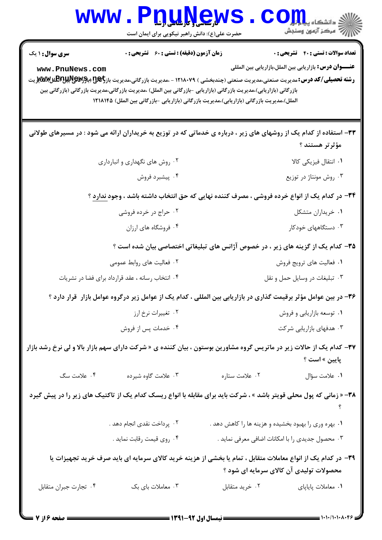| W W W                                                                                        | <b>کارساسی و تارساسی ارشا</b><br>حضرت علی(ع): دانش راهبر نیکویی برای ایمان است |                                                                                                                                                                                                                                                                                                                                                                           | دانشگاه پ <b>یای</b><br>رآ - مرڪز آزمون وسنڊش                                                                    |
|----------------------------------------------------------------------------------------------|--------------------------------------------------------------------------------|---------------------------------------------------------------------------------------------------------------------------------------------------------------------------------------------------------------------------------------------------------------------------------------------------------------------------------------------------------------------------|------------------------------------------------------------------------------------------------------------------|
| <b>سری سوال :</b> ۱ یک<br>www.PnuNews.com                                                    | <b>زمان آزمون (دقیقه) : تستی : 60 ٪ تشریحی : 0</b>                             |                                                                                                                                                                                                                                                                                                                                                                           | <b>تعداد سوالات : تستي : 40 - تشريحي : 0</b><br><b>عنــــوان درس:</b> بازار یابی بین الملل،بازار یابی بین المللی |
|                                                                                              |                                                                                | <b>رشته تحصیلی/کد درس:</b> مدیریت صنعتی،مدیریت صنعتی (چندبخشی ) ۱۲۱۸۰۷۹ - ،مدیریت بازرگانی،مدیریت باز <del>رگیE (باM</del> WیMی و با <b>RPیتر</b> یت<br>بازرگانی (بازاریابی)،مدیریت بازرگانی (بازاریابی -بازرگانی بین الملل) ،مدیریت بازرگانی،مدیریت بازرگانی (بازرگانی بین<br>الملل)،مدیریت بازرگانی (بازاریابی)،مدیریت بازرگانی (بازاریابی -بازرگانی بین الملل) ۱۲۱۸۱۴۵ |                                                                                                                  |
|                                                                                              |                                                                                | ۳۳– استفاده از کدام یک از روشهای های زیر ، درباره ی خدماتی که در توزیع به خریداران ارائه می شود : در مسیرهای طولانی                                                                                                                                                                                                                                                       | مؤثرتر هستند ؟                                                                                                   |
|                                                                                              | ۰۲ روش های نگهداری و انبارداری                                                 |                                                                                                                                                                                                                                                                                                                                                                           | ۰۱ انتقال فيزيكي كالا                                                                                            |
|                                                                                              | ۰۴ پیشبرد فروش                                                                 |                                                                                                                                                                                                                                                                                                                                                                           | ۰۳ روش مونتاژ در توزیع                                                                                           |
| ۳۴- در کدام یک از انواع خرده فروشی ، مصرف کننده نهایی که حق انتخاب داشته باشد ، وجود ندارد ؟ |                                                                                |                                                                                                                                                                                                                                                                                                                                                                           |                                                                                                                  |
|                                                                                              | ۰۲ حراج در خرده فروشی                                                          |                                                                                                                                                                                                                                                                                                                                                                           | ٠١ خريداران متشكل                                                                                                |
|                                                                                              | ۰۴ فروشگاه های ارزان                                                           |                                                                                                                                                                                                                                                                                                                                                                           | ۰۳ دستگاههای خودکار                                                                                              |
|                                                                                              |                                                                                | ۳۵– کدام یک از گزینه های زیر ، در خصوص آژانس های تبلیغاتی اختصاصی بیان شده است ؟                                                                                                                                                                                                                                                                                          |                                                                                                                  |
|                                                                                              | ۰۲ فعالیت های روابط عمومی                                                      |                                                                                                                                                                                                                                                                                                                                                                           | ۰۱ فعالیت های ترویج فروش                                                                                         |
|                                                                                              | ۰۴ انتخاب رسانه ، عقد قرارداد برای فضا در نشریات                               | ۰۳ تبليغات در وسايل حمل و نقل                                                                                                                                                                                                                                                                                                                                             |                                                                                                                  |
|                                                                                              |                                                                                | ۳۶– در بین عوامل مؤثر برقیمت گذاری در بازاریابی بین المللی ، کدام یک از عوامل زیر درگروه عوامل بازار ًقرار دارد ؟                                                                                                                                                                                                                                                         |                                                                                                                  |
|                                                                                              | ۰۲ تغییرات نرخ ارز                                                             |                                                                                                                                                                                                                                                                                                                                                                           | ۰۱ توسعه بازاریابی و فروش                                                                                        |
|                                                                                              | ۰۴ خدمات پس از فروش                                                            |                                                                                                                                                                                                                                                                                                                                                                           | ۰۳ هدفهای بازاریابی شرکت                                                                                         |
|                                                                                              |                                                                                | <b>۳۷</b> – کدام یک از حالات زیر در ماتریس گروه مشاورین بوستون ، بیان کننده ی « شرکت دارای سهم بازار بالا و لی نرخ رشد بازار                                                                                                                                                                                                                                              | <b>پایین » است ؟</b>                                                                                             |
| ۰۴ علامت سگ                                                                                  | ۰۳ علامت گاوه شیرده                                                            | ۰۲ علامت ستاره                                                                                                                                                                                                                                                                                                                                                            | ٠١ علامت سؤال                                                                                                    |
|                                                                                              |                                                                                | ۳۸- « زمانی که پول محلی قویتر باشد » ، شرکت باید برای مقابله با انواع ریسک کدام یک از تاکتیک های زیر را در پیش گیرد                                                                                                                                                                                                                                                       |                                                                                                                  |
|                                                                                              | ۰۲ پرداخت نقدی انجام دهد .                                                     | ۰۱ بهره وری را بهبود بخشیده و هزینه ها را کاهش دهد .                                                                                                                                                                                                                                                                                                                      |                                                                                                                  |
|                                                                                              | ۰۴ روي قيمت رقابت نمايد .                                                      | ۰۳ محصول جدیدی را با امکانات اضافی معرفی نماید .                                                                                                                                                                                                                                                                                                                          |                                                                                                                  |
|                                                                                              |                                                                                | ۳۹– در کدام یک از انواع معاملات متقابل ، تمام یا بخشی از هزینه خرید کالای سرمایه ای باید صرف خرید تجهیزات یا<br>محصولات تولیدی آن کالای سرمایه ای شود ؟                                                                                                                                                                                                                   |                                                                                                                  |
| ۰۴ تجارت جبران متقابل                                                                        | ۰۳ معاملات بای بک                                                              | ۰۲ خرید متقابل                                                                                                                                                                                                                                                                                                                                                            | ۰۱ معاملات پایاپای                                                                                               |

٠